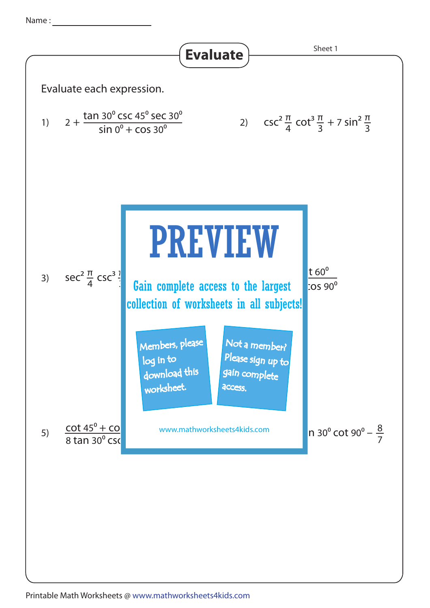